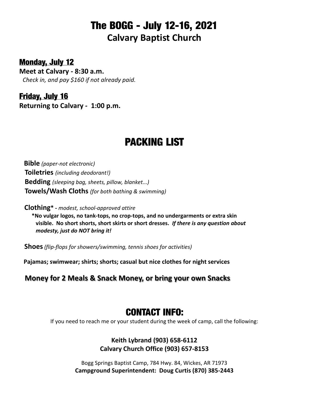## **The BOGG - July 12-16, 2021 Calvary Baptist Church**

**Monday, July 12**

**Meet at Calvary - 8:30 a.m.** *Check in, and pay \$160 if not already paid.*

**Friday, July 16 Returning to Calvary - 1:00 p.m.**

# **PACKING LIST**

 **Bible** *(paper-not electronic)*  **Toiletries** *(including deodorant!)*  **Bedding** *(sleeping bag, sheets, pillow, blanket...)*  **Towels/Wash Cloths** *(for both bathing & swimming)*

 **Clothing\* -** *modest, school-approved attire*

 **\*No vulgar logos, no tank-tops, no crop-tops, and no undergarments or extra skin visible. No short shorts, short skirts or short dresses.** *If there is any question about modesty, just do NOT bring it!*

 **Shoes***(flip-flops for showers/swimming, tennis shoes for activities)*

 **Pajamas; swimwear; shirts; shorts; casual but nice clothes for night services**

 **Money for 2 Meals & Snack Money, or bring your own Snacks**

### **CONTACT INFO:**

If you need to reach me or your student during the week of camp, call the following:

**Keith Lybrand (903) 658-6112 Calvary Church Office (903) 657-8153**

Bogg Springs Baptist Camp, 784 Hwy. 84, Wickes, AR 71973 **Campground Superintendent: Doug Curtis (870) 385-2443**